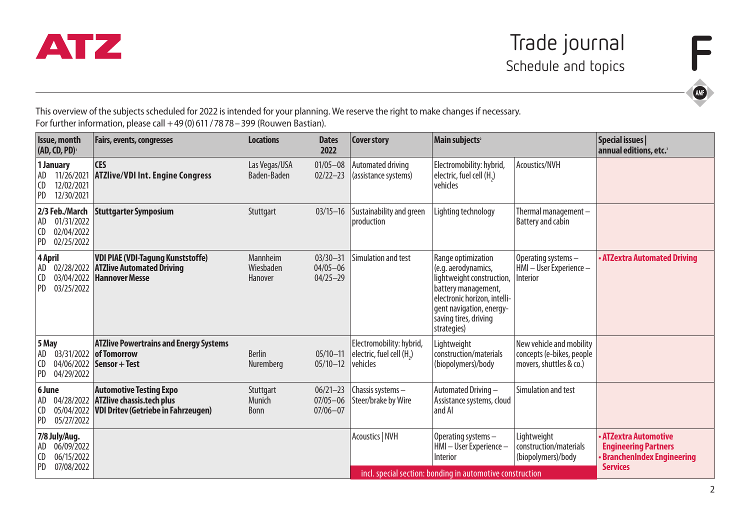

This overview of the subjects scheduled for 2022 is intended for your planning. We reserve the right to make changes if necessary. For further information, please call +49(0)611/7878-399 (Rouwen Bastian).

| <b>Issue, month</b><br>(AD, CD, PD) |                                                          | <b>Fairs, events, congresses</b>                                                                                 | <b>Locations</b>                                          | <b>Dates</b><br>2022                         | <b>Cover story</b>                                               | Main subjects <sup>2</sup>                                                                                                                                                                        |                                                                                  | Special issues  <br>annual editions, etc.                                                                        |
|-------------------------------------|----------------------------------------------------------|------------------------------------------------------------------------------------------------------------------|-----------------------------------------------------------|----------------------------------------------|------------------------------------------------------------------|---------------------------------------------------------------------------------------------------------------------------------------------------------------------------------------------------|----------------------------------------------------------------------------------|------------------------------------------------------------------------------------------------------------------|
| AD<br>l CD<br><b>PD</b>             | 1 January<br>11/26/2021<br>12/02/2021<br>12/30/2021      | <b>CES</b><br><b>ATZlive/VDI Int. Engine Congress</b>                                                            | Las Vegas/USA<br>Baden-Baden                              | $01/05 - 08$<br>$02/22 - 23$                 | Automated driving<br>(assistance systems)                        | Electromobility: hybrid,<br>electric, fuel cell (H.)<br>vehicles                                                                                                                                  | Acoustics/NVH                                                                    |                                                                                                                  |
| AD<br>l CD<br>PD                    | 2/3 Feb./March<br>01/31/2022<br>02/04/2022<br>02/25/2022 | <b>Stuttgarter Symposium</b>                                                                                     | Stuttgart                                                 | $03/15 - 16$                                 | Sustainability and green<br>production                           | Lighting technology                                                                                                                                                                               | Thermal management-<br><b>Battery and cabin</b>                                  |                                                                                                                  |
| l CD<br>PD                          | 4 April<br>AD 02/28/2022<br>03/04/2022<br>03/25/2022     | <b>VDI PIAE (VDI-Tagung Kunststoffe)</b><br><b>ATZlive Automated Driving</b><br><b>Hannover Messe</b>            | Mannheim<br>Wiesbaden<br>Hanover                          | $03/30 - 31$<br>$04/05 - 06$<br>$04/25 - 29$ | Simulation and test                                              | Range optimization<br>(e.g. aerodynamics,<br>lightweight construction,<br>battery management,<br>electronic horizon, intelli-<br>gent navigation, energy-<br>saving tires, driving<br>strategies) | Operating systems -<br>HMI - User Experience -<br>Interior                       | · ATZextra Automated Driving                                                                                     |
| 5 May<br>  AD<br>l CD<br>PD         | 03/31/2022<br>04/06/2022<br>04/29/2022                   | <b>ATZlive Powertrains and Energy Systems</b><br>of Tomorrow<br>Sensor + Test                                    | <b>Berlin</b><br>Nuremberg                                | $05/10 - 11$<br>$05/10 - 12$                 | Electromobility: hybrid,<br>electric, fuel cell (H.)<br>vehicles | Lightweight<br>construction/materials<br>(biopolymers)/body                                                                                                                                       | New vehicle and mobility<br>concepts (e-bikes, people<br>movers, shuttles & co.) |                                                                                                                  |
| 6 June<br>  AD<br>CD<br>PD          | 04/28/2022<br>05/04/2022<br>05/27/2022                   | <b>Automotive Testing Expo</b><br><b>ATZlive chassis.tech plus</b><br><b>VDI Dritev (Getriebe in Fahrzeugen)</b> | Stuttgart<br>Munich<br><b>Bonn</b>                        | $06/21 - 23$<br>$07/05 - 06$<br>$07/06 - 07$ | Chassis systems-<br>Steer/brake by Wire                          | Automated Driving-<br>Assistance systems, cloud<br>and AI                                                                                                                                         | Simulation and test                                                              |                                                                                                                  |
| AD<br>CD<br><b>PD</b>               | 7/8 July/Aug.<br>06/09/2022<br>06/15/2022<br>07/08/2022  |                                                                                                                  |                                                           |                                              | Acoustics   NVH                                                  | Operating systems-<br>HMI-User Experience-<br>Interior                                                                                                                                            | Lightweight<br>construction/materials<br>(biopolymers)/body                      | <b>ATZextra Automotive</b><br><b>Engineering Partners</b><br><b>BranchenIndex Engineering</b><br><b>Services</b> |
|                                     |                                                          |                                                                                                                  | incl. special section: bonding in automotive construction |                                              |                                                                  |                                                                                                                                                                                                   |                                                                                  |                                                                                                                  |